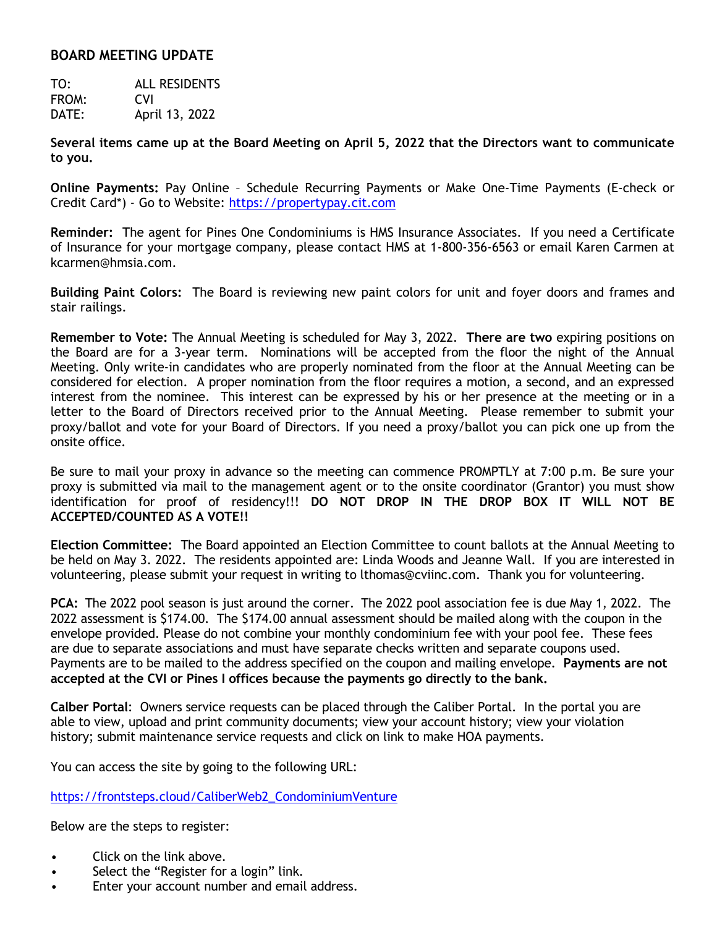## **BOARD MEETING UPDATE**

TO: ALL RESIDENTS FROM: CVI DATE: April 13, 2022

**Several items came up at the Board Meeting on April 5, 2022 that the Directors want to communicate to you.**

**Online Payments:** Pay Online – Schedule Recurring Payments or Make One-Time Payments (E-check or Credit Card\*) - Go to Website: [https://propertypay.cit.com](https://propertypay.cit.com/)

**Reminder:** The agent for Pines One Condominiums is HMS Insurance Associates. If you need a Certificate of Insurance for your mortgage company, please contact HMS at 1-800-356-6563 or email Karen Carmen at kcarmen@hmsia.com.

**Building Paint Colors:** The Board is reviewing new paint colors for unit and foyer doors and frames and stair railings.

**Remember to Vote:** The Annual Meeting is scheduled for May 3, 2022. **There are two** expiring positions on the Board are for a 3-year term. Nominations will be accepted from the floor the night of the Annual Meeting. Only write-in candidates who are properly nominated from the floor at the Annual Meeting can be considered for election. A proper nomination from the floor requires a motion, a second, and an expressed interest from the nominee. This interest can be expressed by his or her presence at the meeting or in a letter to the Board of Directors received prior to the Annual Meeting. Please remember to submit your proxy/ballot and vote for your Board of Directors. If you need a proxy/ballot you can pick one up from the onsite office.

Be sure to mail your proxy in advance so the meeting can commence PROMPTLY at 7:00 p.m. Be sure your proxy is submitted via mail to the management agent or to the onsite coordinator (Grantor) you must show identification for proof of residency!!! **DO NOT DROP IN THE DROP BOX IT WILL NOT BE ACCEPTED/COUNTED AS A VOTE!!**

**Election Committee:** The Board appointed an Election Committee to count ballots at the Annual Meeting to be held on May 3. 2022. The residents appointed are: Linda Woods and Jeanne Wall. If you are interested in volunteering, please submit your request in writing to lthomas@cviinc.com. Thank you for volunteering.

**PCA:** The 2022 pool season is just around the corner. The 2022 pool association fee is due May 1, 2022. The 2022 assessment is \$174.00. The \$174.00 annual assessment should be mailed along with the coupon in the envelope provided. Please do not combine your monthly condominium fee with your pool fee. These fees are due to separate associations and must have separate checks written and separate coupons used. Payments are to be mailed to the address specified on the coupon and mailing envelope. **Payments are not accepted at the CVI or Pines I offices because the payments go directly to the bank.**

**Calber Portal**: Owners service requests can be placed through the Caliber Portal. In the portal you are able to view, upload and print community documents; view your account history; view your violation history; submit maintenance service requests and click on link to make HOA payments.

You can access the site by going to the following URL:

[https://frontsteps.cloud/CaliberWeb2\\_CondominiumVenture](https://frontsteps.cloud/CaliberWeb2_CondominiumVenture)

Below are the steps to register:

- Click on the link above.
- Select the "Register for a login" link.
- Enter your account number and email address.